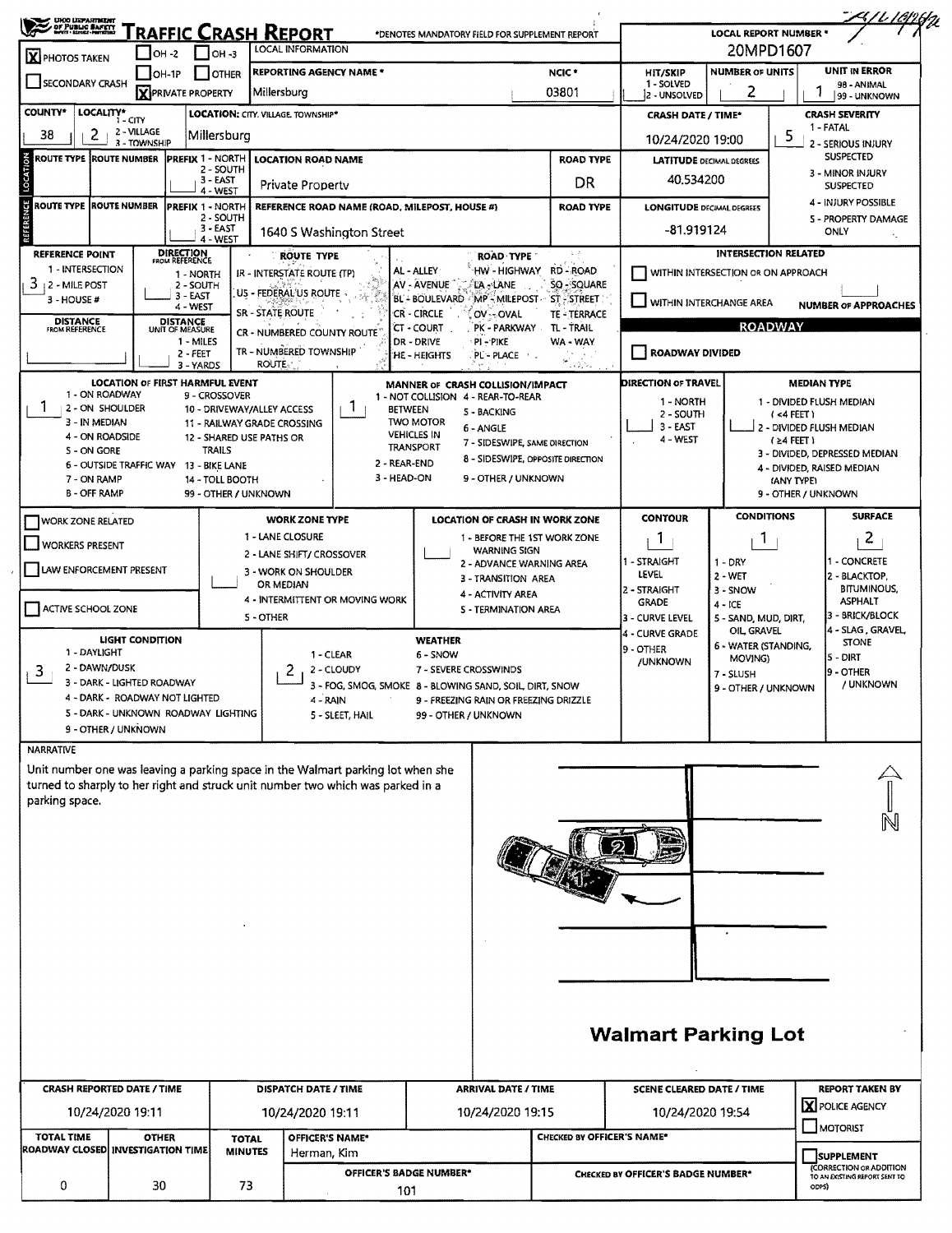| <b>UHOO LEPARTMENT<br/>- OF PUBLIC BAFETT</b><br>- MATT LEIGH-MITERIAL<br>X PHOTOS TAKEN | RAFFIC CRASH REPORT<br>$IOH -2$                              | $IOH -3$                                              | LOCAL INFORMATION                                                                                                                                                  |                                        |                                                 | *DENOTES MANDATORY FIELD FOR SUPPLEMENT REPORT         |                                    | <b>LOCAL REPORT NUMBER *</b><br>20MPD1607 |                                       |                                                   |
|------------------------------------------------------------------------------------------|--------------------------------------------------------------|-------------------------------------------------------|--------------------------------------------------------------------------------------------------------------------------------------------------------------------|----------------------------------------|-------------------------------------------------|--------------------------------------------------------|------------------------------------|-------------------------------------------|---------------------------------------|---------------------------------------------------|
| SECONDARY CRASH                                                                          | $OH-1P$                                                      | <b>OTHER</b>                                          | <b>REPORTING AGENCY NAME *</b>                                                                                                                                     |                                        |                                                 | NCIC*                                                  | <b>HIT/SKIP</b><br>1 - SOLVED      | <b>NUMBER OF UNITS</b>                    |                                       | UNIT IN ERROR<br>98 - ANIMAL                      |
| COUNTY*                                                                                  | <b>X</b> PRIVATE PROPERTY                                    |                                                       | Millersburg                                                                                                                                                        |                                        |                                                 | 03801                                                  | 2 - UNSOLVED                       | 2                                         |                                       | 99 - UNKNOWN                                      |
| 38                                                                                       | LOCALITY* CITY<br>2 - VILLAGE                                | LOCATION: CITY, VILLAGE, TOWNSHIP*                    |                                                                                                                                                                    |                                        |                                                 |                                                        | <b>CRASH DATE / TIME*</b>          |                                           |                                       | <b>CRASH SEVERITY</b><br>1 - FATAL                |
| 2                                                                                        | 3 - TOWNSHIP                                                 | Millersburg                                           |                                                                                                                                                                    |                                        |                                                 |                                                        | 10/24/2020 19:00                   |                                           | 5                                     | 2 - SERIOUS INJURY<br><b>SUSPECTED</b>            |
| <b>ROUTE TYPE IROUTE NUMBER</b>                                                          | <b>PREFIX 1 - NORTH</b>                                      | 2 - SOUTH                                             | <b>LOCATION ROAD NAME</b>                                                                                                                                          |                                        |                                                 | <b>ROAD TYPE</b>                                       | <b>LATITUDE DECIMAL DEGREES</b>    |                                           |                                       | 3 - MINOR INJURY                                  |
|                                                                                          |                                                              | 3 - EAST<br>4 - WEST                                  | Private Property                                                                                                                                                   |                                        |                                                 | DR                                                     | 40.534200                          |                                           | <b>SUSPECTED</b>                      |                                                   |
| ÿ<br>ROUTE TYPE ROUTE NUMBER                                                             | <b>PREFIX 1 - NORTH</b>                                      | 2 - SOUTH                                             | REFERENCE ROAD NAME (ROAD, MILEPOST, HOUSE #)                                                                                                                      |                                        |                                                 | <b>ROAD TYPE</b>                                       | <b>LONGITUDE DECIMAL DEGREES</b>   |                                           |                                       | 4 - INJURY POSSIBLE<br><b>5 - PROPERTY DAMAGE</b> |
|                                                                                          |                                                              | 3 - EAST<br>4 - WEST                                  | 1640 S Washington Street                                                                                                                                           |                                        |                                                 |                                                        | $-81.919124$                       |                                           |                                       | ONLY<br>$\epsilon_{\omega}$                       |
| <b>REFERENCE POINT</b>                                                                   | DIRECTION<br>FROM REFERENCE                                  |                                                       | <b>ROUTE TYPE</b>                                                                                                                                                  |                                        | <b>ROAD TYPE</b>                                | $\lambda$ ,                                            |                                    | <b>INTERSECTION RELATED</b>               |                                       |                                                   |
| 1 - INTERSECTION<br>3<br>2 - MILE POST                                                   | 1 - NORTH<br>2 - SOUTH                                       |                                                       | IR - INTERSTATE ROUTE (TP)                                                                                                                                         | AL - ALLEY<br>AV - AVENUE              | LA - LANE                                       | HW-HIGHWAY RD-ROAD<br>SQ-SQUARE                        | WITHIN INTERSECTION OR ON APPROACH |                                           |                                       |                                                   |
| 3 - HOUSE #                                                                              | 3 - EAST<br>4 - WEST                                         |                                                       | US - FEDERAL US ROUTE                                                                                                                                              |                                        |                                                 | BL - BOULEVARD AMP - MILEPOST - ST - STREET            | WITHIN INTERCHANGE AREA            |                                           |                                       | <b>NUMBER OF APPROACHES</b>                       |
| <b>DISTANCE</b><br>FROM REFERENCE                                                        | <b>DISTANCE</b><br>UNIT OF MEASURE                           | SR - STATE ROUTE                                      |                                                                                                                                                                    | CR - CIRCLE<br>CT - COURT              | OV--OVAL<br>PK - PARKWAY                        | TE - TERRACE<br>TL - TRAIL                             |                                    |                                           | <b>ROADWAY</b>                        |                                                   |
|                                                                                          | 1 - MILES                                                    |                                                       | CR - NUMBERED COUNTY ROUTE<br>TR - NUMBERED TOWNSHIP                                                                                                               | DR - DRIVE                             | PI - PIKE                                       | WA - WAY                                               |                                    |                                           |                                       |                                                   |
|                                                                                          | $2 - FEET$<br>3 - YARDS                                      | <b>ROUTE</b>                                          |                                                                                                                                                                    | HE - HEIGHTS                           | $PL - PL$ ACE                                   | $1 + \frac{1}{2} \sum_{i=1}^{n} \nabla_{\mathbf{x}_i}$ | <b>ROADWAY DIVIDED</b>             |                                           |                                       |                                                   |
| 1 - ON ROADWAY                                                                           | LOCATION OF FIRST HARMFUL EVENT                              | 9 - CROSSOVER                                         |                                                                                                                                                                    | MANNER OF CRASH COLLISION/IMPACT       |                                                 |                                                        | <b>DIRECTION OF TRAVEL</b>         |                                           | <b>MEDIAN TYPE</b>                    |                                                   |
| 2 - ON SHOULDER                                                                          |                                                              | 10 - DRIVEWAY/ALLEY ACCESS                            | 1<br><b>BETWEEN</b>                                                                                                                                                | 1 - NOT COLLISION 4 - REAR-TO-REAR     | S - BACKING                                     |                                                        | 1 - NORTH<br>2 - SOUTH             |                                           | 1 - DIVIDED FLUSH MEDIAN<br>(<4 FEET) |                                                   |
| 3 - IN MEDIAN<br>4 - ON ROADSIDE                                                         |                                                              | 11 RAILWAY GRADE CROSSING<br>12 - SHARED USE PATHS OR |                                                                                                                                                                    | <b>TWO MOTOR</b><br><b>VEHICLES IN</b> | 6 - ANGLE                                       |                                                        | 3 - EAST                           |                                           | 2 - DIVIDED FLUSH MEDIAN              |                                                   |
| 5 - ON GORE                                                                              |                                                              | <b>TRAILS</b>                                         |                                                                                                                                                                    | <b>TRANSPORT</b>                       | 7 - SIDESWIPE, SAME DIRECTION                   | 8 - SIDESWIPE, OPPOSITE DIRECTION                      | 4 - WEST                           |                                           | (≥4 FEET)                             | 3 - DIVIDED, DEPRESSED MEDIAN                     |
| 7 - ON RAMP                                                                              | 6 - OUTSIDE TRAFFIC WAY 13 - BIKE LANE                       | 14 - TOLL BOOTH                                       | 2 - REAR-END<br>3 - HEAD-ON                                                                                                                                        |                                        | 9 - OTHER / UNKNOWN                             |                                                        |                                    |                                           | (ANY TYPE)                            | 4 - DIVIDED, RAISED MEDIAN                        |
| <b>B - OFF RAMP</b>                                                                      |                                                              | 99 - OTHER / UNKNOWN                                  |                                                                                                                                                                    |                                        |                                                 |                                                        |                                    |                                           | 9 - OTHER / UNKNOWN                   |                                                   |
| <b>WORK ZONE RELATED</b>                                                                 |                                                              |                                                       | <b>WORK ZONE TYPE</b>                                                                                                                                              |                                        |                                                 | LOCATION OF CRASH IN WORK ZONE                         | <b>CONTOUR</b>                     | <b>CONDITIONS</b>                         |                                       | <b>SURFACE</b>                                    |
| <b>WORKERS PRESENT</b>                                                                   |                                                              |                                                       | 1 - LANE CLOSURE                                                                                                                                                   |                                        |                                                 | 1 - BEFORE THE 1ST WORK ZONE                           | 1.                                 | 1                                         |                                       | 2                                                 |
|                                                                                          |                                                              |                                                       | 2 - LANE SHIFT/ CROSSOVER                                                                                                                                          |                                        | <b>WARNING SIGN</b><br>2 - ADVANCE WARNING AREA |                                                        | - STRAIGHT                         | $1 - DRY$                                 |                                       | - CONCRETE                                        |
| LAW ENFORCEMENT PRESENT                                                                  |                                                              |                                                       | 3 - WORK ON SHOULDER<br>OR MEDIAN                                                                                                                                  |                                        | 3 - TRANSITION AREA                             |                                                        | LEVEL<br>2 - STRAIGHT              | $2 - WET$<br>3 - SNOW                     |                                       | 2 - BLACKTOP,<br><b>BITUMINOUS,</b>               |
| ACTIVE SCHOOL ZONE                                                                       |                                                              |                                                       | 4 - INTERMITTENT OR MOVING WORK                                                                                                                                    |                                        | 4 - ACTIVITY AREA<br>5 - TERMINATION AREA       |                                                        | GRADE                              | $4 - ICE$                                 |                                       | <b>ASPHALT</b>                                    |
|                                                                                          |                                                              | 5 - OTHER                                             |                                                                                                                                                                    |                                        |                                                 |                                                        | 3 - CURVE LEVEL<br>4 - CURVE GRADE | 5 - SAND, MUD, DIRT,<br>OIL, GRAVEL       |                                       | 3 - BRICK/BLOCK<br>4 - SLAG , GRAVEL,             |
| 1 - DAYLIGHT                                                                             | LIGHT CONDITION                                              |                                                       | 1 - CLEAR                                                                                                                                                          | <b>WEATHER</b><br>6 - SNOW             |                                                 |                                                        | 9 - OTHER                          | 6 - WATER (STANDING,                      |                                       | <b>STONE</b>                                      |
| 2 - DAWN/DUSK<br>3                                                                       |                                                              |                                                       | 2<br>2 - CLOUDY                                                                                                                                                    | 7 - SEVERE CROSSWINDS                  |                                                 |                                                        | /UNKNOWN                           | MOVING)<br>7 - SLUSH                      |                                       | 5 - DIRT<br>9 - OTHER                             |
|                                                                                          | 3 - DARK - LIGHTED ROADWAY<br>4 - DARK - ROADWAY NOT LIGHTED |                                                       | 3 - FOG, SMOG, SMOKE 8 - BLOWING SAND, SOIL, DIRT, SNOW                                                                                                            |                                        | 9 - FREEZING RAIN OR FREEZING DRIZZLE           |                                                        |                                    | 9 - OTHER / UNKNOWN                       |                                       | / UNKNOWN                                         |
|                                                                                          | 5 - DARK - UNKNOWN ROADWAY LIGHTING                          |                                                       | 4 - RAIN<br>5 - SLEET, HAIL                                                                                                                                        | 99 - OTHER / UNKNOWN                   |                                                 |                                                        |                                    |                                           |                                       |                                                   |
|                                                                                          | 9 - OTHER / UNKNOWN                                          |                                                       |                                                                                                                                                                    |                                        |                                                 |                                                        |                                    |                                           |                                       |                                                   |
| <b>NARRATIVE</b>                                                                         |                                                              |                                                       |                                                                                                                                                                    |                                        |                                                 |                                                        |                                    |                                           |                                       |                                                   |
|                                                                                          |                                                              |                                                       | Unit number one was leaving a parking space in the Walmart parking lot when she<br>turned to sharply to her right and struck unit number two which was parked in a |                                        |                                                 |                                                        |                                    |                                           |                                       |                                                   |
| parking space.                                                                           |                                                              |                                                       |                                                                                                                                                                    |                                        |                                                 |                                                        |                                    |                                           |                                       |                                                   |
|                                                                                          |                                                              |                                                       |                                                                                                                                                                    |                                        |                                                 |                                                        |                                    |                                           |                                       |                                                   |
|                                                                                          |                                                              |                                                       |                                                                                                                                                                    |                                        |                                                 |                                                        |                                    |                                           |                                       |                                                   |
|                                                                                          |                                                              |                                                       |                                                                                                                                                                    |                                        |                                                 |                                                        |                                    |                                           |                                       |                                                   |
|                                                                                          |                                                              |                                                       |                                                                                                                                                                    |                                        |                                                 |                                                        |                                    |                                           |                                       |                                                   |
|                                                                                          |                                                              |                                                       |                                                                                                                                                                    |                                        |                                                 |                                                        |                                    |                                           |                                       |                                                   |
|                                                                                          |                                                              |                                                       |                                                                                                                                                                    |                                        |                                                 |                                                        |                                    |                                           |                                       |                                                   |
|                                                                                          |                                                              |                                                       |                                                                                                                                                                    |                                        |                                                 |                                                        |                                    |                                           |                                       |                                                   |
|                                                                                          |                                                              |                                                       |                                                                                                                                                                    |                                        |                                                 |                                                        |                                    |                                           |                                       |                                                   |
|                                                                                          |                                                              |                                                       |                                                                                                                                                                    |                                        |                                                 |                                                        |                                    |                                           |                                       |                                                   |
|                                                                                          |                                                              |                                                       |                                                                                                                                                                    |                                        |                                                 |                                                        |                                    |                                           |                                       |                                                   |
|                                                                                          |                                                              |                                                       |                                                                                                                                                                    |                                        |                                                 |                                                        | <b>Walmart Parking Lot</b>         |                                           |                                       |                                                   |
|                                                                                          |                                                              |                                                       |                                                                                                                                                                    |                                        |                                                 |                                                        |                                    |                                           |                                       |                                                   |
|                                                                                          | <b>CRASH REPORTED DATE / TIME</b>                            |                                                       | <b>DISPATCH DATE / TIME</b>                                                                                                                                        |                                        | <b>ARRIVAL DATE / TIME</b>                      |                                                        | <b>SCENE CLEARED DATE / TIME</b>   |                                           |                                       | <b>REPORT TAKEN BY</b>                            |
|                                                                                          | 10/24/2020 19:11                                             |                                                       | 10/24/2020 19:11                                                                                                                                                   |                                        | 10/24/2020 19:15                                |                                                        | 10/24/2020 19:54                   |                                           |                                       | X POLICE AGENCY                                   |
| <b>TOTAL TIME</b>                                                                        | <b>OTHER</b>                                                 |                                                       | <b>OFFICER'S NAME*</b>                                                                                                                                             |                                        |                                                 | <b>CHECKED BY OFFICER'S NAME*</b>                      |                                    |                                           |                                       | MOTORIST                                          |
|                                                                                          | ROADWAY CLOSED INVESTIGATION TIME                            | <b>TOTAL</b><br><b>MINUTES</b>                        | Herman, Kim                                                                                                                                                        |                                        |                                                 |                                                        |                                    |                                           |                                       | <b>SUPPLEMENT</b>                                 |
|                                                                                          |                                                              |                                                       |                                                                                                                                                                    |                                        |                                                 |                                                        |                                    |                                           |                                       | (CORRECTION OR ADDITION                           |
| 0                                                                                        | 30                                                           | 73                                                    | OFFICER'S BADGE NUMBER*                                                                                                                                            |                                        |                                                 |                                                        | CHECKED BY OFFICER'S BADGE NUMBER* |                                           |                                       | TO AN EXISTING REPORT SENT TO                     |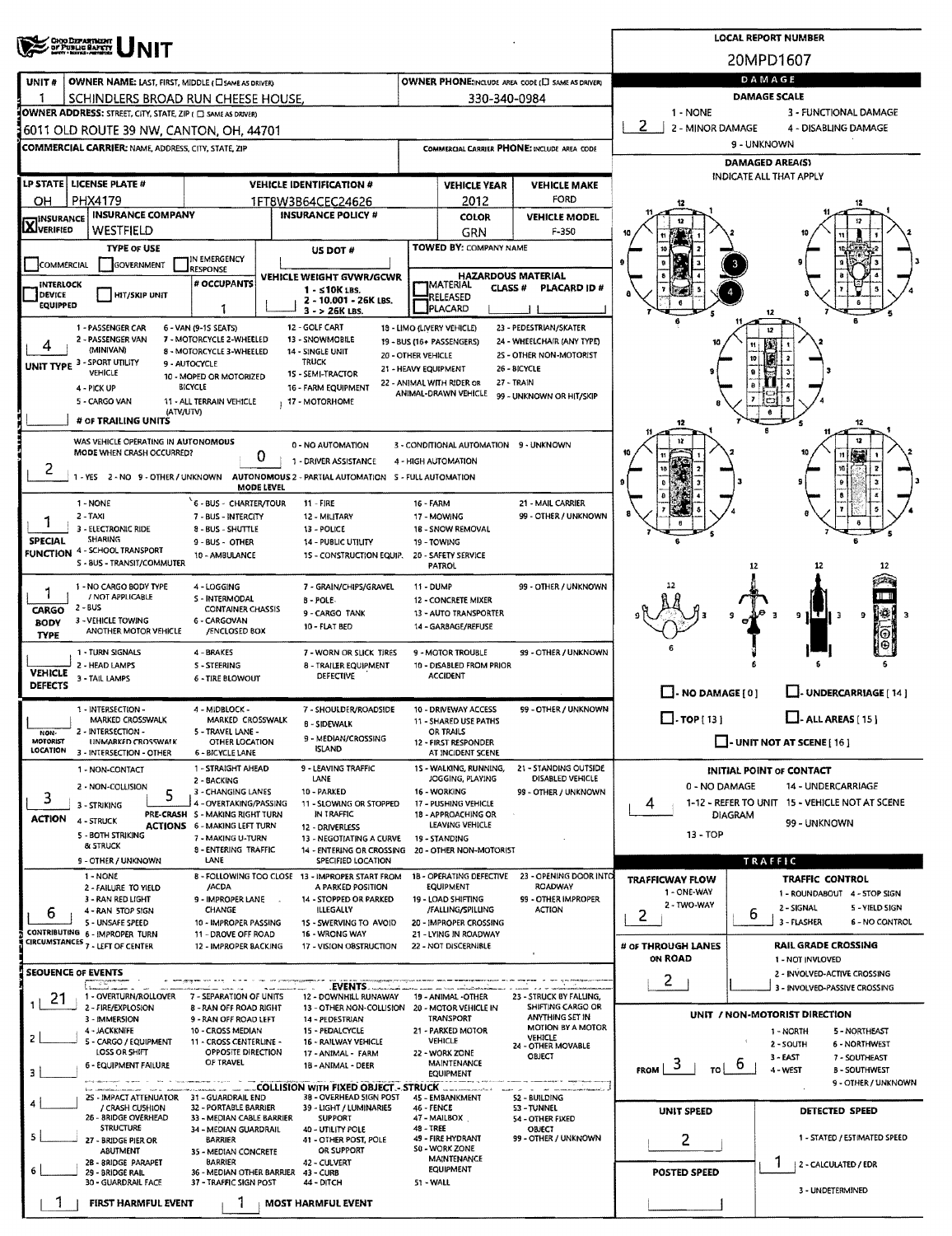|                                                                                             | <b>CHO DEPARTMENT</b><br>OF PUBLIC BAFETY                                                |                                                           |                                                   |                                                                        |                                  |                                                    |                                                       |                                       |                                | <b>LOCAL REPORT NUMBER</b>                                  |  |  |  |  |
|---------------------------------------------------------------------------------------------|------------------------------------------------------------------------------------------|-----------------------------------------------------------|---------------------------------------------------|------------------------------------------------------------------------|----------------------------------|----------------------------------------------------|-------------------------------------------------------|---------------------------------------|--------------------------------|-------------------------------------------------------------|--|--|--|--|
|                                                                                             |                                                                                          |                                                           |                                                   |                                                                        |                                  |                                                    |                                                       |                                       | 20MPD1607                      |                                                             |  |  |  |  |
| UNIT#                                                                                       | OWNER NAME: LAST, FIRST, MIDDLE ( LI SAME AS DRIVER)                                     |                                                           | OWNER PHONE:INCLUDE AREA CODE (E) SAME AS DRIVER) | DAMAGE                                                                 |                                  |                                                    |                                                       |                                       |                                |                                                             |  |  |  |  |
|                                                                                             | SCHINDLERS BROAD RUN CHEESE HOUSE.                                                       |                                                           |                                                   |                                                                        |                                  | 330-340-0984                                       |                                                       | <b>DAMAGE SCALE</b>                   |                                |                                                             |  |  |  |  |
|                                                                                             | OWNER ADDRESS: STREET, CITY, STATE, ZIP ( C) SAME AS DRIVER)                             |                                                           |                                                   |                                                                        |                                  |                                                    |                                                       | 1 - NONE                              |                                | 3 - FUNCTIONAL DAMAGE                                       |  |  |  |  |
|                                                                                             | 6011 OLD ROUTE 39 NW, CANTON, OH, 44701                                                  |                                                           |                                                   |                                                                        |                                  |                                                    | 2<br>2 - MINOR DAMAGE                                 |                                       | 4 - DISABLING DAMAGE           |                                                             |  |  |  |  |
|                                                                                             | COMMERCIAL CARRIER: NAME, ADDRESS, CITY, STATE, ZIP                                      |                                                           |                                                   |                                                                        |                                  |                                                    | COMMERCIAL CARRIER PHONE: INCLUDE AREA CODE           |                                       | 9 - UNKNOWN<br>DAMAGED AREA(S) |                                                             |  |  |  |  |
|                                                                                             |                                                                                          |                                                           |                                                   |                                                                        |                                  |                                                    |                                                       |                                       |                                | INDICATE ALL THAT APPLY                                     |  |  |  |  |
| LP STATE   LICENSE PLATE #<br><b>VEHICLE IDENTIFICATION #</b>                               |                                                                                          |                                                           |                                                   |                                                                        |                                  | <b>VEHICLE YEAR</b><br>2012                        | <b>VEHICLE MAKE</b><br>FORD                           |                                       |                                |                                                             |  |  |  |  |
| PHX4179<br>OН<br>1FT8W3B64CEC24626<br><b>INSURANCE COMPANY</b><br><b>INSURANCE POLICY #</b> |                                                                                          |                                                           |                                                   |                                                                        |                                  | <b>COLOR</b>                                       | <b>VEHICLE MODEL</b>                                  |                                       |                                |                                                             |  |  |  |  |
| <b>X</b> INSURANCE                                                                          | WESTFIELD                                                                                |                                                           |                                                   |                                                                        |                                  | GRN                                                | F-350                                                 |                                       |                                |                                                             |  |  |  |  |
|                                                                                             | <b>TYPE OF USE</b>                                                                       | IN EMERGENCY                                              |                                                   | US DOT #                                                               |                                  | <b>TOWED BY: COMPANY NAME</b>                      |                                                       |                                       |                                |                                                             |  |  |  |  |
| <b>COMMERCIAL</b>                                                                           | <b>GOVERNMENT</b>                                                                        | <b>RESPONSE</b>                                           |                                                   | VEHICLE WEIGHT GVWR/GCWR                                               |                                  | <b>HAZARDOUS MATERIAL</b>                          |                                                       |                                       |                                |                                                             |  |  |  |  |
| INTERLOCK<br><b>DEVICE</b>                                                                  | <b>HIT/SKIP UNIT</b>                                                                     | # OCCUPANTS                                               |                                                   | $1 - 510K$ LBS.                                                        |                                  | <b>IMATERIAL</b><br>CLASS <sup>#</sup><br>RELEASED | PLACARD ID#                                           |                                       |                                |                                                             |  |  |  |  |
| <b>EQUIPPED</b>                                                                             |                                                                                          | 1                                                         |                                                   | 2 - 10.001 - 26K LBS.<br>$3 - 26K$ LBS.                                |                                  | PLACARD                                            |                                                       |                                       | 12                             |                                                             |  |  |  |  |
|                                                                                             | 1 - PASSENGER CAR                                                                        | 6 - VAN (9-1S SEATS)                                      | 12 - GOLF CART                                    |                                                                        |                                  | 18 - LIMO (LIVERY VEHICLE)                         | 23 - PEDESTRIAN/SKATER                                |                                       |                                |                                                             |  |  |  |  |
|                                                                                             | 2 - PASSENGER VAN<br>(MINIVAN)                                                           | 7 - MOTORCYCLE 2-WHEELED<br>8 - MOTORCYCLE 3-WHEELED      | 14 - SINGLE UNIT                                  | 13 - SNOWMOBILE                                                        | 20 - OTHER VEHICLE               | 19 - BUS (16+ PASSENGERS)                          | 24 - WHEELCHAIR (ANY TYPE)<br>2S - OTHER NON-MOTORIST |                                       |                                |                                                             |  |  |  |  |
|                                                                                             | UNIT TYPE 3 - SPORT UTILITY<br>VEHICLE                                                   | 9 - AUTOCYCLE                                             | <b>TRUCK</b>                                      | 15 - SEMI-TRACTOR                                                      | 21 - HEAVY EQUIPMENT             |                                                    | 26 - BICYCLE                                          |                                       | 10                             |                                                             |  |  |  |  |
|                                                                                             | 4 - PICK UP                                                                              | 10 - MOPED OR MOTORIZED<br>BICYCLE                        |                                                   | <b>16 - FARM EQUIPMENT</b>                                             |                                  | 22 - ANIMAL WITH RIDER OR<br>ANIMAL-DRAWN VEHICLE  | 27 - TRAIN                                            |                                       |                                |                                                             |  |  |  |  |
|                                                                                             | 5 - CARGO VAN<br>(ATV/UTV)                                                               | 11 - ALL TERRAIN VEHICLE                                  |                                                   | 17 - MOTORHOME                                                         |                                  |                                                    | 99 - UNKNOWN OR HIT/SKIP                              |                                       |                                |                                                             |  |  |  |  |
|                                                                                             | # OF TRAILING UNITS                                                                      |                                                           |                                                   |                                                                        |                                  |                                                    |                                                       | 12                                    |                                |                                                             |  |  |  |  |
|                                                                                             | WAS VEHICLE OPERATING IN AUTONOMOUS                                                      |                                                           |                                                   | 0 - NO AUTOMATION                                                      |                                  | 3 - CONDITIONAL AUTOMATION 9 - UNKNOWN             |                                                       |                                       |                                |                                                             |  |  |  |  |
| 2                                                                                           | MODE WHEN CRASH OCCURRED?                                                                |                                                           | 0                                                 | 1 - DRIVER ASSISTANCE                                                  |                                  | 4 - HIGH AUTOMATION                                |                                                       |                                       |                                | 10                                                          |  |  |  |  |
|                                                                                             | 1 - YES 2 - NO 9 - OTHER / UNKNOWN AUTONOMOUS 2 - PARTIAL AUTOMATION 5 - FULL AUTOMATION |                                                           | MODE LEVEL                                        |                                                                        |                                  |                                                    |                                                       |                                       |                                |                                                             |  |  |  |  |
|                                                                                             | 1 - NONE                                                                                 | 6 - BUS - CHARTER/TOUR                                    | $11 -$ FIRE                                       |                                                                        | 16 - FARM                        |                                                    | 21 - MAIL CARRIER                                     |                                       |                                |                                                             |  |  |  |  |
| 1                                                                                           | $2 - TAXI$                                                                               | 7 - BUS - INTERCITY                                       |                                                   | 12 - MILITARY                                                          |                                  | 17 - MOWING                                        | 99 - OTHER / UNKNOWN                                  |                                       |                                |                                                             |  |  |  |  |
| <b>SPECIAL</b>                                                                              | 3 - ELECTRONIC RIDE<br><b>SHARING</b>                                                    | 8 - BUS - SHUTTLE<br>9 - BUS - OTHER                      |                                                   | 13 - POLICE<br><b>14 - PUBLIC UTILITY</b>                              |                                  | 18 - SNOW REMOVAL<br>19 - TOWING                   |                                                       |                                       |                                |                                                             |  |  |  |  |
| <b>FUNCTION</b>                                                                             | 4 - SCHOOL TRANSPORT<br>S - BUS - TRANSIT/COMMUTER                                       | 10 - AMBULANCE                                            |                                                   | 15 - CONSTRUCTION EQUIP.                                               |                                  | 20 - SAFETY SERVICE<br>PATROL                      |                                                       |                                       |                                |                                                             |  |  |  |  |
|                                                                                             |                                                                                          |                                                           |                                                   |                                                                        |                                  |                                                    | 99 - OTHER / UNKNOWN                                  |                                       | 12                             |                                                             |  |  |  |  |
|                                                                                             | 1 - NO CARGO BODY TYPE<br>/ NOT APPLICABLE                                               | 4 - LOGGING<br>S - INTERMODAL                             | 8 - POLE-                                         | 7 - GRAIN/CHIPS/GRAVEL                                                 | 11 - DUMP<br>12 - CONCRETE MIXER |                                                    |                                                       |                                       |                                |                                                             |  |  |  |  |
| <b>CARGO</b><br><b>BODY</b>                                                                 | $2 - BUS$<br>3 - VEHICLE TOWING                                                          | <b>CONTAINER CHASSIS</b><br>6 - CARGOVAN                  |                                                   | 9 - CARGO TANK                                                         |                                  | 13 - AUTO TRANSPORTER                              |                                                       |                                       |                                | 9<br>-3<br>3                                                |  |  |  |  |
| <b>TYPE</b>                                                                                 | ANOTHER MOTOR VEHICLE                                                                    | /ENCLOSED BOX                                             |                                                   | 10 - FLAT BED                                                          |                                  | 14 - GARBAGE/REFUSE                                |                                                       |                                       |                                |                                                             |  |  |  |  |
|                                                                                             | 1 - TURN SIGNALS                                                                         | 4 - BRAKES                                                |                                                   | 7 - WORN OR SLICK TIRES                                                |                                  | 9 - MOTOR TROUBLE                                  | 99 - OTHER / UNKNOWN                                  |                                       |                                |                                                             |  |  |  |  |
| <b>VEHICLE</b>                                                                              | 2 - HEAD LAMPS<br>3 - TAIL LAMPS                                                         | <b>S-STEERING</b><br><b>6 - TIRE BLOWOUT</b>              |                                                   | <b>8 - TRAILER EQUIPMENT</b><br>DEFECTIVE                              |                                  | 10 - DISABLED FROM PRIOR<br><b>ACCIDENT</b>        |                                                       |                                       |                                |                                                             |  |  |  |  |
| <b>DEFECTS</b>                                                                              |                                                                                          |                                                           |                                                   |                                                                        |                                  |                                                    |                                                       | $\Box$ - NO DAMAGE [ 0 ]              |                                | L. UNDERCARRIAGE [ 14 ]                                     |  |  |  |  |
|                                                                                             | 1 - INTERSECTION -<br><b>MARKED CROSSWALK</b>                                            | 4 - MIDBLOCK -<br>MARKED CROSSWALK                        |                                                   | 7 - SHOULDER/ROADSIDE                                                  |                                  | 10 - DRIVEWAY ACCESS<br>11 - SHARED USE PATHS      | 99 - OTHER / UNKNOWN                                  | $\square$ - TOP [ 13 ]                |                                | $\Box$ - ALL AREAS [15]                                     |  |  |  |  |
| NON-<br>MOTORIST                                                                            | 2 - INTERSECTION -<br><b>UNMARKED CROSSWALK</b>                                          | 5 - TRAVEL LANE -<br>OTHER LOCATION                       |                                                   | 8 - SIDEWALK<br>9 - MEDIAN/CROSSING                                    |                                  | OR TRAILS                                          |                                                       |                                       |                                | $\Box$ - UNIT NOT AT SCENE [ 16 ]                           |  |  |  |  |
| LOCATION                                                                                    | 3 - INTERSECTION - OTHER                                                                 | 6 - BICYCLE LANE                                          |                                                   | <b>ISLAND</b>                                                          |                                  | 12 - FIRST RESPONDER<br>AT INCIDENT SCENE          |                                                       |                                       |                                |                                                             |  |  |  |  |
|                                                                                             | 1 - NON-CONTACT                                                                          | 1 - STRAIGHT AHEAD<br>2 - BACKING                         |                                                   | 9 - LEAVING TRAFFIC<br>LANE                                            |                                  | 15 - WALKING, RUNNING,<br>JOGGING, PLAYING         | 21 - STANDING OUTSIDE<br>DISABLED VEHICLE             |                                       |                                | INITIAL POINT OF CONTACT                                    |  |  |  |  |
| 3                                                                                           | 2 - NON-COLLISION<br>5                                                                   | 3 - CHANGING LANES                                        |                                                   | 10 - PARKED                                                            |                                  | 16 - WORKING                                       | 99 - OTHER / UNKNOWN                                  | 0 - NO DAMAGE<br>14 - UNDERCARRIAGE   |                                |                                                             |  |  |  |  |
| <b>ACTION</b>                                                                               | 3 - STRIKING                                                                             | 4 - OVERTAKING/PASSING<br>PRE-CRASH S - MAKING RIGHT TURN |                                                   | 11 - SLOWING OR STOPPED<br>IN TRAFFIC                                  |                                  | 17 - PUSHING VEHICLE<br>18 - APPROACHING OR        |                                                       | 4                                     | <b>DIAGRAM</b>                 | 1-12 - REFER TO UNIT 15 - VEHICLE NOT AT SCENE              |  |  |  |  |
|                                                                                             | 4 - STRUCK<br>5 - BOTH STRIKING                                                          | <b>ACTIONS</b> 6 - MAKING LEFT TURN<br>7 - MAKING U-TURN  |                                                   | 12 - DRIVERLESS<br>13 - NEGOTIATING A CURVE                            |                                  | LEAVING VEHICLE<br>19 - STANDING                   |                                                       | 13 - TOP                              |                                | 99 - UNKNOWN                                                |  |  |  |  |
|                                                                                             | & STRUCK                                                                                 | <b>8 - ENTERING TRAFFIC</b>                               |                                                   | 14 - ENTERING OR CROSSING                                              |                                  | 20 - OTHER NON-MOTORIST                            |                                                       | TRAFFIC                               |                                |                                                             |  |  |  |  |
|                                                                                             | 9 - OTHER / UNKNOWN<br>1 - NONE                                                          | LANE                                                      |                                                   | SPECIFIED LOCATION<br>8 - FOLLOWING TOO CLOSE 13 - IMPROPER START FROM |                                  | 18 - OPERATING DEFECTIVE                           | 23 - OPENING DOOR INTO                                |                                       |                                |                                                             |  |  |  |  |
|                                                                                             | 2 - FAILURE TO YIELD                                                                     | /ACDA                                                     |                                                   | A PARKED POSITION                                                      |                                  | <b>EQUIPMENT</b>                                   | <b>ROADWAY</b>                                        | <b>TRAFFICWAY FLOW</b><br>1 - ONE-WAY |                                | <b>TRAFFIC CONTROL</b><br>1 - ROUNDABOUT 4 - STOP SIGN      |  |  |  |  |
| 6                                                                                           | 3 - RAN RED LIGHT<br>4 - RAN STOP SIGN                                                   | 9 - IMPROPER LANE .<br>CHANGE                             |                                                   | 14 - STOPPED OR PARKED<br><b>ILLEGALLY</b>                             |                                  | 19 - LOAD SHIFTING<br>/FALLING/SPILLING            | 99 - OTHER IMPROPER<br><b>ACTION</b>                  | 2 - TWO-WAY<br>$\overline{2}$         | 6                              | 2 - SIGNAL<br>5 - YIELD SIGN                                |  |  |  |  |
|                                                                                             | 5 - UNSAFE SPEED<br>CONTRIBUTING 6 - IMPROPER TURN                                       | 10 - IMPROPER PASSING<br>11 - DROVE OFF ROAD              |                                                   | 15 - SWERVING TO AVOID<br>16 - WRONG WAY                               |                                  | 20 - IMPROPER CROSSING<br>21 - LYING IN ROADWAY    |                                                       |                                       |                                | 3 - FLASHER<br><b>6 - NO CONTROL</b>                        |  |  |  |  |
|                                                                                             | CIRCUMSTANCES 7 - LEFT OF CENTER                                                         | 12 - IMPROPER BACKING                                     |                                                   | 17 - VISION OBSTRUCTION                                                |                                  | 22 - NOT DISCERNIBLE                               |                                                       | # OF THROUGH LANES                    |                                | <b>RAIL GRADE CROSSING</b>                                  |  |  |  |  |
|                                                                                             | <b>SEQUENCE OF EVENTS</b>                                                                |                                                           |                                                   |                                                                        |                                  |                                                    |                                                       | ON ROAD                               |                                | 1 - NOT INVLOVED<br>2 - INVOLVED-ACTIVE CROSSING            |  |  |  |  |
|                                                                                             |                                                                                          |                                                           |                                                   | EVENTS.                                                                |                                  |                                                    |                                                       | 2                                     |                                | 3 - INVOLVED-PASSIVE CROSSING                               |  |  |  |  |
| 21                                                                                          | 1 - OVERTURN/ROLLOVER<br>2 - FIRE/EXPLOSION                                              | 7 - SEPARATION OF UNITS<br>8 - RAN OFF ROAD RIGHT         |                                                   | 12 - DOWNHILL RUNAWAY<br>13 - OTHER NON-COLLISION                      |                                  | 19 - ANIMAL -OTHER<br>20 - MOTOR VEHICLE IN        | 23 - STRUCK BY FALLING,<br>SHIFTING CARGO OR          |                                       |                                |                                                             |  |  |  |  |
|                                                                                             | 3 - IMMERSION<br>4 - JACKKNIFE                                                           | 9 - RAN OFF ROAD LEFT<br>10 - CROSS MEDIAN                |                                                   | 14 - PEDESTRIAN<br>15 - PEDALCYCLE                                     |                                  | TRANSPORT<br>21 - PARKED MOTOR                     | ANYTHING SET IN<br>MOTION BY A MOTOR                  |                                       |                                | UNIT / NON-MOTORIST DIRECTION<br>1 - NORTH<br>5 - NORTHEAST |  |  |  |  |
| 2                                                                                           | 5 - CARGO / EQUIPMENT                                                                    | 11 - CROSS CENTERLINE -                                   |                                                   | 16 - RAILWAY VEHICLE                                                   |                                  | VEHICLE                                            | <b>VEHICLE</b><br>24 - OTHER MOVABLE                  |                                       |                                | 2 - SOUTH<br><b>6 - NORTHWEST</b>                           |  |  |  |  |
|                                                                                             | <b>LOSS OR SHIFT</b><br>6 - EQUIPMENT FAILURE                                            | OPPOSITE DIRECTION<br>OF TRAVEL                           |                                                   | 17 - ANIMAL - FARM<br>18 - ANIMAL - DEER                               |                                  | 22 - WORK ZONE<br>MAINTENANCE                      | OBJECT                                                | з<br><b>FROM</b><br>τ٥!               | b                              | 3 - EAST<br>7 - SOUTHEAST<br>4 - WEST<br><b>B-SOUTHWEST</b> |  |  |  |  |
|                                                                                             |                                                                                          |                                                           |                                                   | COLLISION WITH FIXED OBJECT. - STRUCK                                  |                                  | <b>EQUIPMENT</b>                                   |                                                       |                                       |                                | 9 - OTHER / UNKNOWN                                         |  |  |  |  |
|                                                                                             | 2S - IMPACT ATTENUATOR 31 - GUARDRAIL END<br>/ CRASH CUSHION                             | 32 - PORTABLE BARRIER                                     |                                                   | 38 - OVERHEAD SIGN POST<br>39 - LIGHT / LUMINARIES                     | 46 - FENCE                       | 45 - EMBANKMENT                                    | 52 - BUILDING<br>53 - TUNNEL                          |                                       |                                |                                                             |  |  |  |  |
|                                                                                             | 26 - 8RIDGE OVERHEAD<br><b>STRUCTURE</b>                                                 | 33 - MEDIAN CABLE BARRIER                                 |                                                   | <b>SUPPORT</b>                                                         |                                  | 47 - MAILBOX                                       | 54 - OTHER FIXED                                      | UNIT SPEED                            |                                | <b>DETECTED SPEED</b>                                       |  |  |  |  |
|                                                                                             | 27 - BRIDGE PIER OR                                                                      | 34 - MEDIAN GUARDRAIL<br><b>BARRIER</b>                   |                                                   | 40 - UTILITY POLE<br>41 - OTHER POST, POLE                             | 48 - TREE                        | 49 - FIRE HYDRANT                                  | OBJECT<br>99 - OTHER / UNKNOWN                        | 2                                     |                                | 1 - STATED / ESTIMATED SPEED                                |  |  |  |  |
|                                                                                             | ABUTMENT<br>2B - BRIDGE PARAPET                                                          | 35 - MEDIAN CONCRETE<br>BARRIER                           |                                                   | OR SUPPORT<br>42 - CULVERT                                             |                                  | <b>SO - WORK ZONE</b><br><b>MAINTENANCE</b>        |                                                       |                                       |                                | 2 - CALCULATED / EDR                                        |  |  |  |  |
| 6                                                                                           | 29 - BRIDGE RAIL<br>30 - GUARDRAIL FACE                                                  | 36 - MEDIAN OTHER BARRIER<br>37 - TRAFFIC SIGN POST       | 43 - CURB                                         | 44 - DITCH                                                             | 51 - WALL                        | <b>EQUIPMENT</b>                                   |                                                       | <b>POSTED SPEED</b>                   |                                |                                                             |  |  |  |  |
|                                                                                             | FIRST HARMFUL EVENT                                                                      |                                                           | <b>MOST HARMFUL EVENT</b>                         |                                                                        |                                  |                                                    |                                                       |                                       |                                | 3 - UNDETERMINED                                            |  |  |  |  |
|                                                                                             |                                                                                          |                                                           |                                                   |                                                                        |                                  |                                                    |                                                       |                                       |                                |                                                             |  |  |  |  |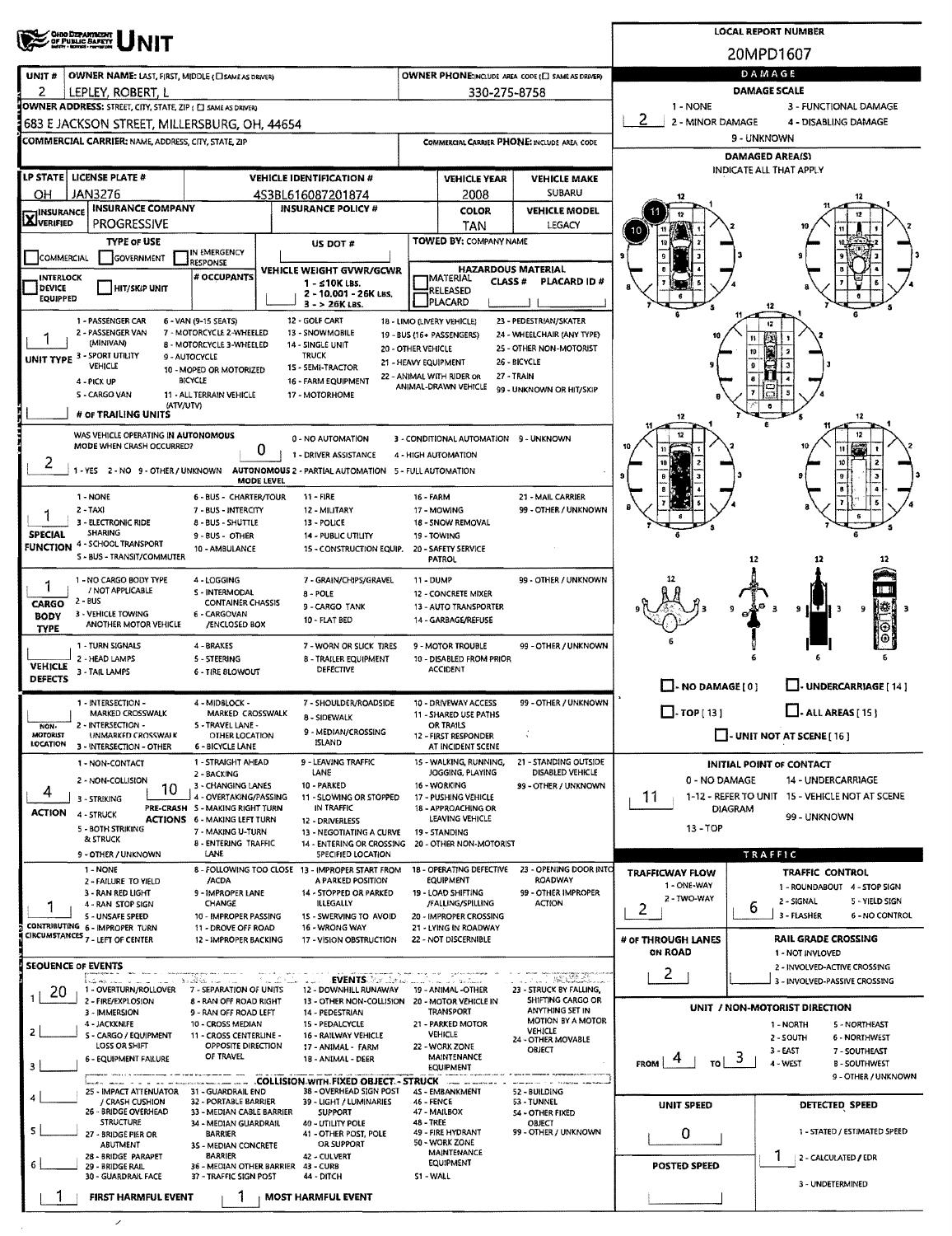| <b>CHIO DEPARTMENT<br/>OF PUBLIC BAFETY</b><br>MARI LEGEL LEGEL      |                                                           | <b>LOCAL REPORT NUMBER</b>                                                    |                    |                                                    |                                                    |                          |                                                                  |                                           |  |  |
|----------------------------------------------------------------------|-----------------------------------------------------------|-------------------------------------------------------------------------------|--------------------|----------------------------------------------------|----------------------------------------------------|--------------------------|------------------------------------------------------------------|-------------------------------------------|--|--|
|                                                                      |                                                           |                                                                               |                    |                                                    |                                                    |                          | 20MPD1607                                                        |                                           |  |  |
| UNIT#<br>OWNER NAME: LAST, FIRST, MIDDLE (CISAME AS ORIVER)          |                                                           |                                                                               |                    |                                                    | OWNER PHONE: INCLUDE AREA CODE (E) SAME AS DRIVER) |                          | DAMAGE                                                           |                                           |  |  |
| 2<br>LEPLEY. ROBERT. L                                               |                                                           |                                                                               |                    | 330-275-8758                                       |                                                    |                          | DAMAGE SCALE                                                     |                                           |  |  |
| OWNER ADDRESS: STREET, CITY, STATE, ZIP ( [ ] SAME AS DRIVER)        |                                                           |                                                                               |                    |                                                    |                                                    | 1 - NONE                 | 3 - FUNCTIONAL DAMAGE                                            |                                           |  |  |
| 683 E JACKSON STREET, MILLERSBURG, OH, 44654                         |                                                           |                                                                               |                    |                                                    |                                                    | 2<br>2 - MINOR DAMAGE    | 4 - DISABLING DAMAGE                                             |                                           |  |  |
| COMMERCIAL CARRIER: NAME, ADDRESS, CITY, STATE, ZIP                  |                                                           |                                                                               |                    |                                                    | COMMERCIAL CARRIER PHONE: INCLUDE AREA CODE        |                          | 9 - UNKNOWN                                                      |                                           |  |  |
|                                                                      |                                                           |                                                                               |                    |                                                    |                                                    |                          | <b>DAMAGED AREA(S)</b><br>INDICATE ALL THAT APPLY                |                                           |  |  |
| <b>LP STATE LICENSE PLATE #</b>                                      |                                                           | <b>VEHICLE IDENTIFICATION #</b>                                               |                    | <b>VEHICLE YEAR</b>                                | <b>VEHICLE MAKE</b><br>SUBARU                      |                          |                                                                  |                                           |  |  |
| <b>JAN3276</b><br>OН<br><b>INSURANCE COMPANY</b><br><b>INSURANCE</b> |                                                           | 4S3BL616087201874<br><b>INSURANCE POLICY #</b>                                |                    | 2008<br><b>COLOR</b>                               | <b>VEHICLE MODEL</b>                               |                          |                                                                  |                                           |  |  |
| XVERIFIED<br><b>PROGRESSIVE</b>                                      |                                                           |                                                                               |                    | TAN                                                | LEGACY                                             |                          |                                                                  |                                           |  |  |
| <b>TYPE OF USE</b>                                                   |                                                           | US DOT #                                                                      |                    | <b>TOWED BY: COMPANY NAME</b>                      |                                                    |                          |                                                                  |                                           |  |  |
| COMMERCIAL<br>GOVERNMENT                                             | IN EMERGENCY<br>RESPONSE                                  |                                                                               |                    |                                                    | <b>HAZARDOUS MATERIAL</b>                          |                          |                                                                  |                                           |  |  |
| <b>INTERLOCK</b><br><b>HIT/SKIP UNIT</b><br><b>DEVICE</b>            | # OCCUPANTS                                               | <b>VEHICLE WEIGHT GVWR/GCWR</b><br>$1 - 510K$ LBS.                            |                    | <b>IMATERIAL</b><br>CLASS#                         | <b>PLACARD ID#</b>                                 |                          |                                                                  |                                           |  |  |
| EQUIPPED                                                             |                                                           | 2 - 10.001 - 26K LBS.<br>$3 - 26K$ LBS.                                       |                    | RELEASED<br>PLACARD                                |                                                    |                          |                                                                  |                                           |  |  |
| 1 - PASSENGER CAR                                                    | 6 - VAN (9-15 SEATS)                                      | 12 - GOLF CART                                                                |                    | 18 - LIMO (LIVERY VEHICLE)                         | 23 - PEDESTRJAN/SKATER                             |                          |                                                                  |                                           |  |  |
| 2 - PASSENGER VAN<br>(MINIVAN)                                       | 7 - MOTORCYCLE 2-WHEELED<br>8 - MOTORCYCLE 3-WHEELED      | 13 - SNOWMOBILE<br>14 - SINGLE UNIT                                           |                    | 19 - BUS (16+ PASSENGERS)                          | 24 - WHEELCHAIR (ANY TYPE)                         |                          | 11                                                               |                                           |  |  |
| UNIT TYPE 3 - SPORT UTILITY                                          | 9 - AUTOCYCLE                                             | <b>TRUCK</b>                                                                  | 20 - OTHER VEHICLE | 21 - HEAVY EQUIPMENT                               | 25 - OTHER NON-MOTORIST<br>26 - BICYCLE            |                          | 10                                                               |                                           |  |  |
| VEHICLE<br>4 - PICK UP                                               | 10 - MOPED OR MOTORIZED<br><b>BICYCLE</b>                 | 15 - SEMI-TRACTOR<br>16 - FARM EQUIPMENT                                      |                    | 22 - ANIMAL WITH RIDER OR                          | 27 - TRAIN                                         |                          |                                                                  |                                           |  |  |
| S - CARGO VAN                                                        | 11 - ALL TERRAIN VEHICLE                                  | 17 - MOTORHOME                                                                |                    | ANIMAL-DRAWN VEHICLE                               | 99 - UNKNOWN OR HIT/SKIP                           |                          |                                                                  |                                           |  |  |
| (ATV/UTV)<br># OF TRAILING UNITS                                     |                                                           |                                                                               |                    |                                                    |                                                    |                          |                                                                  | 12                                        |  |  |
| WAS VEHICLE OPERATING IN AUTONOMOUS                                  |                                                           | 0 - NO AUTOMATION                                                             |                    | 3 - CONDITIONAL AUTOMATION 9 - UNKNOWN             |                                                    |                          |                                                                  |                                           |  |  |
| MODE WHEN CRASH OCCURRED?                                            | 0                                                         | 1 - DRIVER ASSISTANCE                                                         |                    | 4 - HIGH AUTOMATION                                |                                                    |                          |                                                                  |                                           |  |  |
| 2<br>1-YES 2-NO 9-OTHER/UNKNOWN                                      |                                                           | AUTONOMOUS 2 - PARTIAL AUTOMATION 5 - FULL AUTOMATION                         |                    |                                                    |                                                    |                          |                                                                  |                                           |  |  |
|                                                                      | <b>MODE LEVEL</b>                                         |                                                                               |                    |                                                    |                                                    |                          |                                                                  |                                           |  |  |
| 1 - NONE<br>2 - TAXI                                                 | 6 - BUS - CHARTER/TOUR<br>7 - BUS - INTERCITY             | 11 - FIRE<br>12 - MILITARY                                                    | <b>16 - FARM</b>   | 17 - MOWING                                        | 21 - MAIL CARRIER<br>99 - OTHER / UNKNOWN          |                          |                                                                  |                                           |  |  |
| 3 - ELECTRONIC RIDE                                                  | 8 - BUS - SHUTTLE                                         | 13 - POLICE                                                                   |                    | 18 - SNOW REMOVAL                                  |                                                    |                          |                                                                  |                                           |  |  |
| SHARING<br><b>SPECIAL</b><br>4 - SCHOOL TRANSPORT<br><b>FUNCTION</b> | 9 - BUS - OTHER<br>10 - AMBULANCE                         | 14 - PUBLIC UTILITY<br>15 - CONSTRUCTION EQUIP.                               |                    | 19 - TOWING<br>20 - SAFETY SERVICE                 |                                                    |                          |                                                                  |                                           |  |  |
| S - BUS - TRANSIT/COMMUTER                                           |                                                           |                                                                               |                    | <b>PATROL</b>                                      |                                                    |                          | 12                                                               |                                           |  |  |
| 1 - NO CARGO BODY TYPE                                               | 4 - LOGGING                                               | 7 - GRAIN/CHIPS/GRAVEL                                                        | 11 - DUMP          |                                                    | 99 - OTHER / UNKNOWN                               |                          |                                                                  |                                           |  |  |
| / NOT APPLICABLE<br>2 - BUS<br><b>CARGO</b>                          | S - INTERMODAL<br><b>CONTAINER CHASSIS</b>                | 8 - POLE                                                                      |                    | 12 - CONCRETE MIXER                                |                                                    |                          |                                                                  |                                           |  |  |
| 3 - VEHICLE TOWING<br><b>BODY</b><br>ANOTHER MOTOR VEHICLE           | 6 - CARGOVAN<br>/ENCLOSED BOX                             | 9 - CARGO TANK<br>10 - FLAT BED                                               |                    | 13 - AUTO TRANSPORTER<br>14 - GARBAGE/REFUSE       |                                                    |                          |                                                                  | 菇<br>9                                    |  |  |
| <b>TYPE</b>                                                          |                                                           |                                                                               |                    |                                                    |                                                    |                          |                                                                  |                                           |  |  |
| 1 - TURN SIGNALS<br>2 - HEAD LAMPS                                   | 4 - BRAKES<br>5 - STEERING                                | 7 - WORN OR SLICK TIRES<br>8 - TRAILER EQUIPMENT                              |                    | 9 - MOTOR TROUBLE<br>10 - DISABLED FROM PRIOR      | 99 - OTHER / UNKNOWN                               |                          |                                                                  |                                           |  |  |
| <b>VEHICLE</b><br>3 - TAIL LAMPS<br>DEFECTS                          | 6 - TIRE BLOWOUT                                          | DEFECTIVE                                                                     |                    | <b>ACCIDENT</b>                                    |                                                    |                          |                                                                  |                                           |  |  |
|                                                                      |                                                           |                                                                               |                    |                                                    |                                                    | $\Box$ - NO DAMAGE $[0]$ | LI-UNDERCARRIAGE [14]                                            |                                           |  |  |
| 1 - INTERSECTION -<br>MARKED CROSSWALK                               | 4 - MIDBLOCK -<br>MARKED CROSSWALK                        | 7 - SHOULDER/ROADSIDE<br>8 - SIDEWALK                                         |                    | 10 - DRIVEWAY ACCESS<br>11 - SHARED USE PATHS      | 99 - OTHER / UNKNOWN                               | $\Box$ TOP [13]          | $\Box$ - ALL AREAS [15]                                          |                                           |  |  |
| 2 - INTERSECTION -<br>NON-<br>MOTORIST<br>UNMARKED CROSSWALK         | S - TRAVEL LANE -<br>OTHER LOCATION                       | 9 - MEDIAN/CROSSING                                                           |                    | OR TRAILS<br>12 - FIRST RESPONDER                  |                                                    |                          | - UNIT NOT AT SCENE [ 16 ]                                       |                                           |  |  |
| LOCATION<br>3 - INTERSECTION - OTHER                                 | <b>6 - BICYCLE LANE</b>                                   | <b>ISLAND</b>                                                                 |                    | AT INCIDENT SCENE                                  |                                                    |                          |                                                                  |                                           |  |  |
| 1 - NON-CONTACT                                                      | 1 - STRAIGHT AHEAD<br>2 - BACKING                         | 9 - LEAVING TRAFFIC<br>LANE                                                   |                    | 15 - WALKING, RUNNING,<br>JOGGING, PLAYING         | 21 - STANDING OUTSIDE<br>DISABLED VEHICLE          |                          | <b>INITIAL POINT OF CONTACT</b>                                  |                                           |  |  |
| 2 - NON-COLLISION<br>10<br>4                                         | 3 - CHANGING LANES                                        | 10 - PARKED                                                                   |                    | 16 - WORKING                                       | 99 - OTHER / UNKNOWN                               | 0 - NO DAMAGE            | 14 - UNDERCARRIAGE                                               |                                           |  |  |
| 3 - STRIKING<br>ACTION<br>4 - STRUCK                                 | 4 - OVERTAKING/PASSING<br>PRE-CRASH S - MAKING RIGHT TURN | 11 - SLOWING OR STOPPED<br>IN TRAFFIC                                         |                    | 17 - PUSHING VEHICLE<br><b>18 - APPROACHING OR</b> |                                                    | 11                       | 1-12 - REFER TO UNIT 15 - VEHICLE NOT AT SCENE<br><b>DIAGRAM</b> |                                           |  |  |
| 5 - BOTH STRIKING                                                    | <b>ACTIONS 6 - MAKING LEFT TURN</b><br>7 - MAKING U-TURN  | 12 - DRIVERLESS<br>13 - NEGOTIATING A CURVE                                   |                    | LEAVING VEHICLE<br>19 - STANDING                   |                                                    | 13-TOP                   | 99 - UNKNOWN                                                     |                                           |  |  |
| & STRUCK                                                             | <b>B - ENTERING TRAFFIC</b>                               | 14 - ENTERING OR CROSSING                                                     |                    | 20 - OTHER NON-MOTORIST                            |                                                    |                          |                                                                  |                                           |  |  |
| 9 - OTHER / UNKNOWN<br>1 - NONE                                      | LANE                                                      | <b>SPECIFIED LOCATION</b><br>8 - FOLLOWING TOO CLOSE 13 - IMPROPER START FROM |                    | 18 - OPERATING DEFECTIVE                           | 23 - OPENING DOOR INTO                             | <b>TRAFFICWAY FLOW</b>   | TRAFFIC                                                          |                                           |  |  |
| 2 - FAILURE TO YIELD                                                 | /ACDA                                                     | A PARKED POSITION                                                             |                    | <b>EQUIPMENT</b>                                   | <b>ROADWAY</b>                                     | 1 - ONE-WAY              | <b>TRAFFIC CONTROL</b><br>1 - ROUNDABOUT 4 - STOP SIGN           |                                           |  |  |
| 3 - RAN RED LIGHT<br>4 - RAN STOP SIGN                               | 9 - IMPROPER LANE<br>CHANGE                               | 14 - STOPPED OR PARKED<br>ILLEGALLY                                           |                    | 19 - LOAD SHIFTING<br>/FALLING/SPILLING            | 99 - OTHER IMPROPER<br><b>ACTION</b>               | 2 - TWO-WAY<br>2         | 2 - SIGNAL<br>6                                                  | 5 - YIELD SIGN                            |  |  |
| <b>S-UNSAFE SPEED</b><br>CONTRIBUTING 6 - IMPROPER TURN              | 10 - IMPROPER PASSING<br>11 - DROVE OFF ROAD              | 15 - SWERVING TO AVOID<br>16 - WRONG WAY                                      |                    | 20 - IMPROPER CROSSING<br>21 - LYING IN ROADWAY    |                                                    |                          | 3 - FLASHER                                                      | <b>6 - NO CONTROL</b>                     |  |  |
| <b>CIRCUMSTANCES 7 - LEFT OF CENTER</b>                              | 12 - IMPROPER BACKING                                     | 17 - VISION OBSTRUCTION                                                       |                    | 22 - NOT DISCERNIBLE                               |                                                    | # OF THROUGH LANES       | <b>RAIL GRADE CROSSING</b>                                       |                                           |  |  |
| <b>SEOUENCE OF EVENTS</b>                                            |                                                           |                                                                               |                    |                                                    |                                                    | <b>ON ROAD</b>           | 1 - NOT INVLOVED                                                 |                                           |  |  |
|                                                                      | ಿಂದೆ ಎಂ.ಎ                                                 | <b>EVENTS</b> for the comp                                                    |                    |                                                    | a <del>an manazany</del> a                         | 2                        | 2 - INVOLVED-ACTIVE CROSSING<br>3 - INVOLVED-PASSIVE CROSSING    |                                           |  |  |
| 1 - OVERTURN/ROLLOVER<br>20<br>2 - FIRE/EXPLOSION                    | 7 - SEPARATION OF UNITS<br>8 - RAN OFF ROAD RIGHT         | 12 - DOWNHILL RUNAWAY<br>13 - OTHER NON-COLLISION 20 - MOTOR VEHICLE IN       |                    | 19 - ANIMAL -OTHER                                 | 23 - STRUCK BY FALLING,<br>SHIFTING CARGO OR       |                          |                                                                  |                                           |  |  |
| 3 - IMMERSION                                                        | 9 - RAN OFF ROAD LEFT                                     | 14 - PEDESTRIAN                                                               |                    | <b>TRANSPORT</b>                                   | ANYTHING SET IN<br><b>MOTION BY A MOTOR</b>        |                          | UNIT / NON-MOTORIST DIRECTION                                    |                                           |  |  |
| 4 - JACKKNIFE<br>2<br>S - CARGO / EQUIPMENT                          | 10 - CROSS MEDIAN<br>11 - CROSS CENTERLINE -              | 15 - PEDALCYCLE<br>16 - RAILWAY VEHICLE                                       |                    | 21 - PARKED MOTOR<br><b>VEHICLE</b>                | <b>VEHICLE</b><br>24 - OTHER MOVABLE               |                          | 1 - NORTH<br>2 - SOUTH                                           | 5 - NORTHEAST<br>6 - NORTHWEST            |  |  |
| LOSS OR SHIFT<br>6 - EQUIPMENT FAILURE                               | OPPOSITE DIRECTION<br>OF TRAVEL                           | 17 - ANIMAL - FARM<br>18 - ANIMAL - DEER                                      |                    | 22 - WORK ZONE<br>MAINTENANCE                      | OBJECT                                             |                          | 3 - EAST<br>5.                                                   | 7 - SOUTHEAST                             |  |  |
| з                                                                    |                                                           |                                                                               |                    | <b>EQUIPMENT</b>                                   |                                                    | <b>FROM</b><br>TO        | 4 - WEST                                                         | <b>B-SOUTHWEST</b><br>9 - OTHER / UNKNOWN |  |  |
| 25 - IMPACT ATTENUATOR 31 - GUARDRAIL END                            |                                                           | COLLISION WITH FIXED OBJECT - STRUCK<br>38 - OVERHEAD SIGN POST               |                    | 45 - EMBANKMENT                                    | 52 - BUILDING                                      |                          |                                                                  |                                           |  |  |
| / CRASH CUSHION<br>26 - BRIDGE OVERHEAD                              | 32 - PORTABLE BARRIER<br>33 - MEDIAN CABLE BARRIER        | 39 - LIGHT / LUMINARIES<br><b>SUPPORT</b>                                     | 46 - FENCE         | 47 - MAILBOX                                       | 53 - TUNNEL<br><b>54 - OTHER FIXED</b>             | UNIT SPEED               | DETECTED SPEED                                                   |                                           |  |  |
| <b>STRUCTURE</b>                                                     | 34 - MEDIAN GUARDRAIL<br><b>BARRIER</b>                   | 40 - UTILITY POLE<br>41 - OTHER POST, POLE                                    | 48 - TREE          | 49 - FIRE HYDRANT                                  | OBJECT<br>99 - OTHER / UNKNOWN                     | 0                        | 1 - STATED / ESTIMATED SPEED                                     |                                           |  |  |
| 27 - BRIDGE PIER OR<br>ABUTMENT                                      | 3S - MEDIAN CONCRETE                                      | OR SUPPORT                                                                    |                    | 50 - WORK ZONE<br><b>MAINTENANCE</b>               |                                                    |                          |                                                                  |                                           |  |  |
| 28 - BRIDGE PARAPET<br>6<br>29 - BRIDGE RAIL                         | BARRIER<br>36 - MEDIAN OTHER BARRIER                      | 42 - CULVERT<br>43 - CURB                                                     |                    | <b>EQUIPMENT</b>                                   |                                                    | <b>POSTED SPEED</b>      | 2 - CALCULATED / EDR                                             |                                           |  |  |
| 30 - GUARDRAIL FACE                                                  | 37 - TRAFFIC SIGN POST                                    | 44 - DITCH                                                                    | S1 WALL            |                                                    |                                                    |                          | 3 - UNDETERMINED                                                 |                                           |  |  |
| <b>FIRST HARMFUL EVENT</b>                                           | 7                                                         | <b>MOST HARMFUL EVENT</b>                                                     |                    |                                                    |                                                    |                          |                                                                  |                                           |  |  |
| ╱                                                                    |                                                           |                                                                               |                    |                                                    |                                                    |                          |                                                                  |                                           |  |  |
|                                                                      |                                                           |                                                                               |                    |                                                    |                                                    |                          |                                                                  |                                           |  |  |

 $\sim$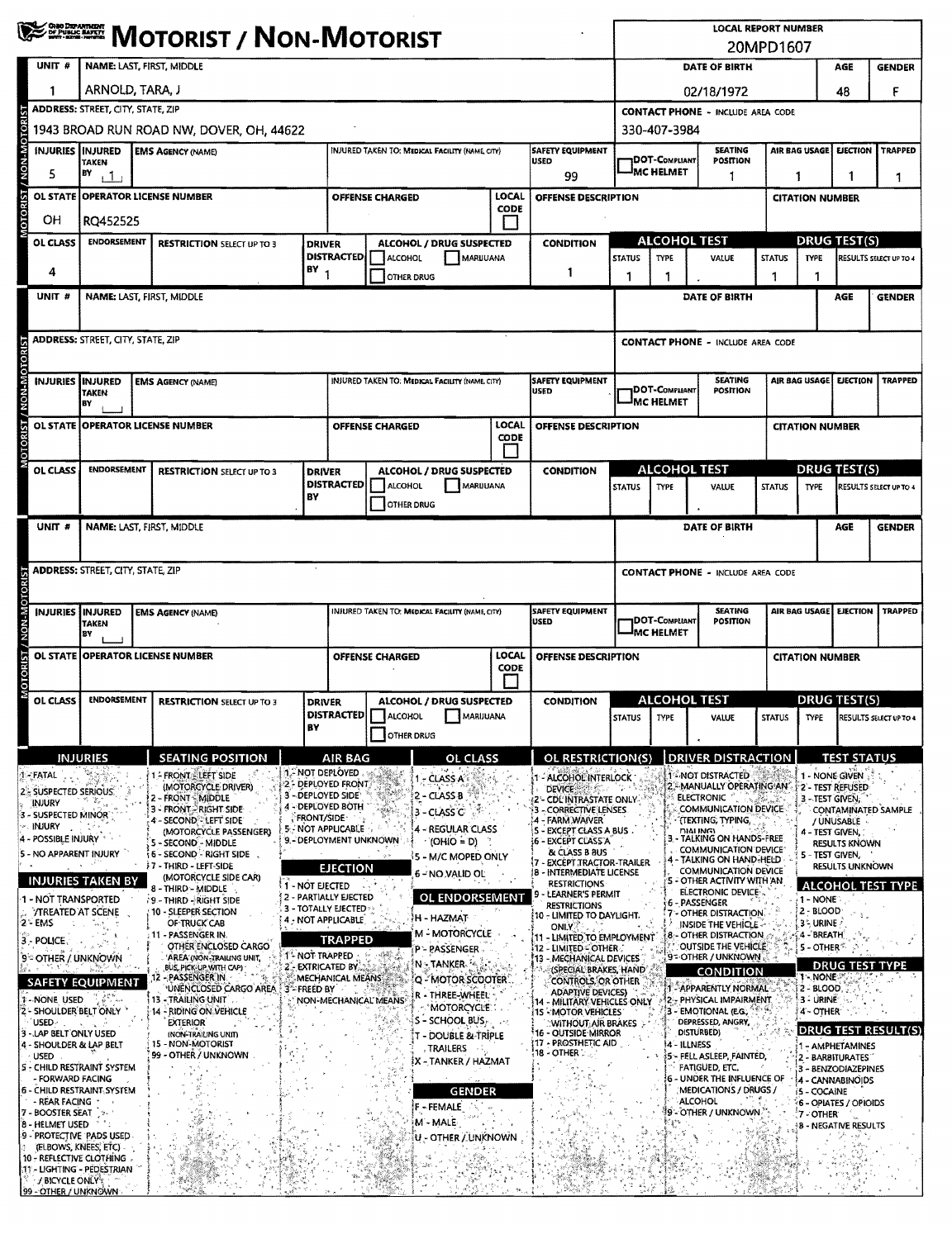|                                                                                         | <b>WE SHERE MOTORIST / NON-MOTORIST</b>  |                                                                       |                         |                                                     |                        |                                                   |                      |                                                                                     |                                       |                                                              | <b>LOCAL REPORT NUMBER</b>                                                      | 20MPD1607                                          |                                   |                                         | <b>GENDER</b>                                                                                                                                                                           |  |  |  |  |  |  |
|-----------------------------------------------------------------------------------------|------------------------------------------|-----------------------------------------------------------------------|-------------------------|-----------------------------------------------------|------------------------|---------------------------------------------------|----------------------|-------------------------------------------------------------------------------------|---------------------------------------|--------------------------------------------------------------|---------------------------------------------------------------------------------|----------------------------------------------------|-----------------------------------|-----------------------------------------|-----------------------------------------------------------------------------------------------------------------------------------------------------------------------------------------|--|--|--|--|--|--|
| UNIT <sub>#</sub>                                                                       | NAME: LAST, FIRST, MIDDLE                |                                                                       |                         |                                                     |                        |                                                   |                      |                                                                                     |                                       |                                                              | DATE OF BIRTH                                                                   |                                                    |                                   | AGE                                     |                                                                                                                                                                                         |  |  |  |  |  |  |
|                                                                                         | ARNOLD, TARA, J                          |                                                                       |                         |                                                     |                        |                                                   |                      |                                                                                     |                                       | 02/18/1972                                                   |                                                                                 |                                                    | 48                                | F                                       |                                                                                                                                                                                         |  |  |  |  |  |  |
|                                                                                         | <b>ADDRESS: STREET, CITY, STATE, ZIP</b> |                                                                       |                         |                                                     |                        |                                                   |                      |                                                                                     |                                       | <b>CONTACT PHONE - INCLUDE AREA CODE</b>                     |                                                                                 |                                                    |                                   |                                         |                                                                                                                                                                                         |  |  |  |  |  |  |
| MOTORIST / NON-MOTORI<br>INJURIES INJURED                                               |                                          | 1943 BROAD RUN ROAD NW, DOVER, OH, 44622<br><b>EMS AGENCY (NAME)</b>  |                         |                                                     |                        | INJURED TAKEN TO: MEDICAL FACILITY (NAME CITY)    |                      | <b>SAFETY EQUIPMENT</b>                                                             |                                       | 330-407-3984                                                 | <b>SEATING</b>                                                                  |                                                    | AIR BAG USAGE                     | <b>EJECTION</b>                         | <b>TRAPPED</b>                                                                                                                                                                          |  |  |  |  |  |  |
| 5                                                                                       | TAKEN<br>BY<br>$+1$                      |                                                                       |                         |                                                     |                        |                                                   |                      | <b>USED</b><br>99                                                                   |                                       | <b>DOT-C</b> OMPLIANT<br><b>MC HELMET</b>                    | <b>POSITION</b><br>1                                                            | 1                                                  |                                   | 1                                       |                                                                                                                                                                                         |  |  |  |  |  |  |
|                                                                                         |                                          | OL STATE OPERATOR LICENSE NUMBER                                      |                         |                                                     | <b>OFFENSE CHARGED</b> |                                                   | LOCAL                | OFFENSE DESCRIPTION                                                                 |                                       |                                                              |                                                                                 |                                                    | <b>CITATION NUMBER</b>            |                                         |                                                                                                                                                                                         |  |  |  |  |  |  |
| OН                                                                                      | RQ452525                                 |                                                                       |                         |                                                     |                        |                                                   | <b>CODE</b>          |                                                                                     |                                       |                                                              |                                                                                 |                                                    |                                   |                                         |                                                                                                                                                                                         |  |  |  |  |  |  |
| OL CLASS                                                                                | <b>ENDORSEMENT</b>                       | <b>RESTRICTION SELECT UP TO 3</b>                                     | <b>DRIVER</b>           |                                                     |                        | ALCOHOL / DRUG SUSPECTED                          |                      | <b>CONDITION</b>                                                                    |                                       | ALCOHOL TEST                                                 |                                                                                 |                                                    | <b>DRUG TEST(S)</b>               |                                         |                                                                                                                                                                                         |  |  |  |  |  |  |
| 4                                                                                       |                                          |                                                                       | BΥ                      | <b>DISTRACTED</b>                                   | ALCOHOL                | MARUUANA                                          |                      | 1                                                                                   | <b>TYPE</b><br>VALUE<br><b>STATUS</b> |                                                              |                                                                                 | <b>STATUS</b>                                      | <b>TYPE</b>                       |                                         |                                                                                                                                                                                         |  |  |  |  |  |  |
| UNIT #                                                                                  | NAME: LAST, FIRST, MIDDLE                |                                                                       |                         |                                                     | <b>OTHER DRUG</b>      |                                                   |                      |                                                                                     |                                       | 1<br>1<br>DATE OF BIRTH                                      |                                                                                 |                                                    |                                   | AGE                                     |                                                                                                                                                                                         |  |  |  |  |  |  |
|                                                                                         |                                          |                                                                       |                         |                                                     |                        |                                                   |                      |                                                                                     |                                       |                                                              |                                                                                 |                                                    |                                   |                                         |                                                                                                                                                                                         |  |  |  |  |  |  |
|                                                                                         | <b>ADDRESS: STREET, CITY, STATE, ZIP</b> |                                                                       |                         |                                                     |                        |                                                   |                      |                                                                                     |                                       |                                                              | <b>CONTACT PHONE - INCLUDE AREA CODE</b>                                        |                                                    |                                   |                                         | 1<br>RESULTS SELECT UP TO 4<br><b>GENDER</b><br><b>TRAPPED</b><br>RESULTS SELECT UP TO 4<br><b>GENDER</b><br><b>TRAPPED</b><br>STATUS TYPE RESULTS SELECT UP TO 4<br><b>TEST STATUS</b> |  |  |  |  |  |  |
|                                                                                         |                                          |                                                                       |                         |                                                     |                        |                                                   |                      |                                                                                     |                                       |                                                              |                                                                                 |                                                    |                                   |                                         |                                                                                                                                                                                         |  |  |  |  |  |  |
| <b>ST/NON-MOTORIST</b><br><b>INJURIES INJURED</b>                                       | TAKEN<br>BΥ                              | <b>EMS AGENCY (NAME)</b>                                              |                         |                                                     |                        | INJURED TAKEN TO: MEDICAL FACILITY (NAME, CITY)   |                      | SAFETY EQUIPMENT<br><b>USED</b>                                                     |                                       | 1DOT-Compliant<br><b>IMC HELMET</b>                          | <b>SEATING</b><br><b>POSITION</b>                                               |                                                    | AIR BAG USAGE<br><b>EJECTION</b>  |                                         |                                                                                                                                                                                         |  |  |  |  |  |  |
| <b>OL STATE</b>                                                                         |                                          | <b>OPERATOR LICENSE NUMBER</b>                                        |                         |                                                     | <b>OFFENSE CHARGED</b> |                                                   | LOCAL                | OFFENSE DESCRIPTION                                                                 |                                       |                                                              |                                                                                 |                                                    | <b>CITATION NUMBER</b>            |                                         |                                                                                                                                                                                         |  |  |  |  |  |  |
| <b>MOTORI</b>                                                                           |                                          |                                                                       |                         |                                                     |                        |                                                   | <b>CODE</b>          |                                                                                     |                                       |                                                              |                                                                                 |                                                    |                                   |                                         |                                                                                                                                                                                         |  |  |  |  |  |  |
| OL CLASS                                                                                | ENDORSEMENT                              | <b>RESTRICTION SELECT UP TO 3</b>                                     | <b>DRIVER</b>           | <b>DISTRACTED</b>                                   | <b>ALCOHOL</b>         | <b>ALCOHOL / DRUG SUSPECTED</b><br>MARUUANA       |                      | <b>CONDITION</b>                                                                    |                                       | <b>ALCOHOL TEST</b>                                          |                                                                                 | <b>DRUG TEST(S)</b>                                |                                   |                                         |                                                                                                                                                                                         |  |  |  |  |  |  |
|                                                                                         |                                          |                                                                       | BΥ                      |                                                     | OTHER DRUG             |                                                   |                      |                                                                                     | <b>STATUS</b>                         | <b>TYPE</b>                                                  | VALUE                                                                           | <b>STATUS</b>                                      | <b>TYPE</b>                       |                                         |                                                                                                                                                                                         |  |  |  |  |  |  |
| UNIT #                                                                                  | NAME: LAST, FIRST, MIDDLE                |                                                                       |                         |                                                     |                        |                                                   |                      |                                                                                     |                                       |                                                              | DATE OF BIRTH                                                                   |                                                    |                                   | AGE                                     |                                                                                                                                                                                         |  |  |  |  |  |  |
|                                                                                         |                                          |                                                                       |                         |                                                     |                        |                                                   |                      |                                                                                     |                                       |                                                              |                                                                                 |                                                    |                                   |                                         |                                                                                                                                                                                         |  |  |  |  |  |  |
|                                                                                         | <b>ADDRESS: STREET, CITY, STATE, ZIP</b> |                                                                       |                         |                                                     |                        |                                                   |                      |                                                                                     |                                       |                                                              | <b>CONTACT PHONE - INCLUDE AREA CODE</b>                                        |                                                    |                                   |                                         |                                                                                                                                                                                         |  |  |  |  |  |  |
|                                                                                         |                                          |                                                                       |                         |                                                     |                        |                                                   |                      |                                                                                     |                                       |                                                              |                                                                                 |                                                    |                                   |                                         |                                                                                                                                                                                         |  |  |  |  |  |  |
| <b>INJURIES INJURED</b>                                                                 | <b>TAKEN</b><br>lв٧                      | <b>EMS AGENCY (NAME)</b>                                              |                         |                                                     |                        | INJURED TAKEN TO: MEDICAL FACILITY (NAME, CITY)   |                      | SAFETY EQUIPMENT<br><b>USED</b>                                                     |                                       | DOT-Compliant<br><b>IMC HELMET</b>                           | <b>SEATING</b><br><b>POSITION</b>                                               |                                                    | AIR BAG USAGE                     | <b>EJECTION</b>                         |                                                                                                                                                                                         |  |  |  |  |  |  |
|                                                                                         |                                          | OL STATE OPERATOR LICENSE NUMBER                                      |                         |                                                     | <b>OFFENSE CHARGED</b> |                                                   | LOCAL<br><b>CODE</b> | OFFENSE DESCRIPTION                                                                 | <b>CITATION NUMBER</b>                |                                                              |                                                                                 |                                                    |                                   |                                         |                                                                                                                                                                                         |  |  |  |  |  |  |
| <b>MOTORIST</b>                                                                         |                                          |                                                                       |                         |                                                     |                        |                                                   |                      |                                                                                     | <b>ALCOHOL TEST</b>                   |                                                              |                                                                                 |                                                    | DRUG TEST(S)                      |                                         |                                                                                                                                                                                         |  |  |  |  |  |  |
| OL CLASS                                                                                | <b>ENDORSEMENT</b>                       | <b>RESTRICTION SELECT UP TO 3</b>                                     | DRIVER                  |                                                     | DISTRACTED   ALCOHOL   | ALCOHOL / DRUG SUSPECTED<br>MARUUANA              |                      | <b>CONDITION</b>                                                                    | STATUS I TYPE                         |                                                              | VALUE                                                                           |                                                    |                                   |                                         |                                                                                                                                                                                         |  |  |  |  |  |  |
|                                                                                         |                                          |                                                                       | B٧                      |                                                     | <b>OTHER DRUG</b>      |                                                   |                      |                                                                                     |                                       |                                                              |                                                                                 |                                                    |                                   |                                         |                                                                                                                                                                                         |  |  |  |  |  |  |
|                                                                                         | <b>INJURIES</b>                          | <b>SEATING POSITION</b>                                               |                         | AIR BAG<br><b>1. NOT DEPLOYED</b>                   |                        | <b>OL CLASS</b>                                   |                      | OL RESTRICTION(S)                                                                   |                                       |                                                              | <b>DRIVER DISTRACTION</b>                                                       |                                                    |                                   |                                         |                                                                                                                                                                                         |  |  |  |  |  |  |
| 1 - FATAL<br>2. SUSPECTED SERIOUS                                                       |                                          | 1- FRONT ELEFT SIDE<br>(MOTORCYCLE DRIVER)                            |                         | 2- DEPLOYED FRONT<br>3 - DEPLOYED SIDE              |                        | 1 - CLASS A'<br>2 - CLASS B                       |                      | 1 - ALCOHOL INTERLOCK<br><b>DEVICE:</b>                                             |                                       |                                                              | - NOT DISTRACTED<br>MANUALLY OPERATING AN<br>ELECTRONIC <sup>27</sup>           |                                                    | 1 - NONE GIVEN                    | 2 - TEST REFUSED                        |                                                                                                                                                                                         |  |  |  |  |  |  |
| INJURY<br>3 - SUSPECTED MINOR                                                           |                                          | 2 – Front - Middle<br>3 - FRONT RIGHT SIDE<br>4 - SECOND - LEFT SIDE  | <b>FRONT/SIDE</b>       | 4 - DEPLOYED BOTH                                   |                        | 3 - CLASS C                                       |                      | 2'- CDL'INTRASTATE ONLY-<br>- CORRECTIVE LENSES<br>4 - FARM WAIVER                  |                                       |                                                              | <b>COMMUNICATION DEVICE</b>                                                     | dhe zi                                             | 3 - TEST GIVEN,                   | / UNUSABLE                              | CONTAMINATED SAMPLE                                                                                                                                                                     |  |  |  |  |  |  |
| INJURY<br>4 - POSSIBLE INJURY                                                           |                                          | (MOTORCYCLE PASSENGER)<br>5 - SECOND - MIDDLE                         |                         | 5 - NOT APPLICABLE<br>9. - DEPLOYMENT UNKNOWN       |                        | 4 - REGULAR CLASS<br>$(OHIO = D)$                 |                      | 5 - EXCEPT CLASS A BUS.<br>6 - EXCEPT CLASS A                                       |                                       | (TEXTING, TYPING,<br><b>DIALING</b><br>TALKING ON HANDS-FREE |                                                                                 |                                                    |                                   | 4 - TEST GIVEN,<br><b>RESULTS KNOWN</b> |                                                                                                                                                                                         |  |  |  |  |  |  |
| 5 - NO APPARENT INJURY                                                                  |                                          | <b>5 - SECOND - RIGHT SIDE</b><br>7 - THIRD - LEFT-SIDE               |                         | <b>EJECTION</b>                                     |                        | 5 - M/C MOPED ONLY                                |                      | & CLASS B BUS<br>17 - EXCEPT TRACTOR-TRAILER                                        |                                       |                                                              | COMMUNICATION DEVICE<br>TALKING ON HAND-HELD                                    |                                                    | 5-TEST GIVEN,                     |                                         |                                                                                                                                                                                         |  |  |  |  |  |  |
|                                                                                         | <b>INJURIES TAKEN BY</b>                 | (MOTORCYCLE SIDE CAR)<br>8 - THIRD - MIDDLE                           | 1 - NOT EJECTED         |                                                     |                        | 6 - NO VALID OL                                   |                      | 8 - INTERMEDIATE LICENSE<br><b>RESTRICTIONS</b>                                     |                                       |                                                              | <b>COMMUNICATION DEVICE</b><br>'S - OTHER ACTIVITY WITH AN<br>ELECTRONIC DEVICE | <b>RESULTS UNKNOWN</b><br><b>ALCOHOL TEST TYPE</b> |                                   |                                         |                                                                                                                                                                                         |  |  |  |  |  |  |
| 1 - NOT TRANSPORTED<br>TREATED AT SCENE                                                 |                                          | 9 - THIRD - RIGHT SIDE<br>10 - SLEEPER SECTION                        |                         | 2 - PARTIALLY EJECTED<br><b>3 - TOTALLY EJECTED</b> |                        | OL ENDORSEMENT                                    |                      | 9 - LEARNER'S PERMIT<br><b>RESTRICTIONS</b><br>(10 - LIMITED TO DAYLIGHT.           |                                       |                                                              | 6 - PASSENGER<br>OTHER DISTRACTION                                              |                                                    | $1 - NONE$<br>2 - BLOOD           |                                         |                                                                                                                                                                                         |  |  |  |  |  |  |
| $2 - EMS$<br>$3 - POLICE$                                                               |                                          | OF TRUCK CAB<br>11 - PASSENGER IN.                                    |                         | 4 - NOT APPLICABLE<br><b>TRAPPED</b>                |                        | H - HAZMAT<br>M - MOTORCYCLE                      |                      | <b>ONLY</b><br>11 - LIMITED TO EMPLOYMENT                                           |                                       |                                                              | INSIDE THE VEHICLE<br>8 - OTHER DISTRACTION                                     |                                                    | 3'- URINE<br>$4 - BREATH$         |                                         |                                                                                                                                                                                         |  |  |  |  |  |  |
| 9 - OTHER / UNKNOWN                                                                     |                                          | <b>OTHER ENCLOSED CARGO</b><br>'AREA (NON-TRAILING UNIT,              | 1- NOT TRAPPED          |                                                     |                        | P - PASSENGER<br>N - TANKER &                     |                      | 12 - LIMITED COTHER<br>13 - MECHANICAL DEVICES                                      |                                       |                                                              | OUTSIDE THE VEHICLE<br>9 = OTHER / UNKNOWN                                      |                                                    | $5 -$ OTHER $\%$                  |                                         |                                                                                                                                                                                         |  |  |  |  |  |  |
|                                                                                         | Dr.<br><b>SAFETY EQUIPMENT</b>           | BUS, PICK-UP WITH CAP)<br>2 - PASSENGER IN                            |                         | 2 - EXTRICATED BY<br>MECHANICAL MEANS               |                        | Q-MOTOR SCOOTER                                   |                      | (SPECIAL BRAKES, HAND<br><b>CONTROLS, OR OTHER</b>                                  |                                       |                                                              | <b>CONDITION</b><br>1 - APPARENTLY NORMAL                                       |                                                    | <b>1-NONE</b>                     | <b>DRUG TEST</b>                        |                                                                                                                                                                                         |  |  |  |  |  |  |
| <b>T-NONE USED</b><br>2 - SHOULDER BELT ONLY                                            |                                          | UNENCLOSED CARGO AREA<br>13 - TRAILING UNIT<br>14 - RIDING ON VEHICLE | 3 <sup>*</sup> FREED BY | NON-MECHANICAL MEANS                                |                        | r - Three-Wheel<br>'MOTORCYCLE'                   |                      | <b>ADAPTIVE DEVICES)</b><br>14 - MILITARY VEHICLES ONLY<br><b>IS MOTOR VEHICLES</b> |                                       |                                                              | 2 - PHYSICAL IMPAIRMENT<br>3 - EMOTIONAL (EG.,                                  |                                                    | 2 - BLOOD<br>3 URINE<br>4 - OTHER |                                         |                                                                                                                                                                                         |  |  |  |  |  |  |
| USED-<br>3 - LAP BELT ONLY USED                                                         |                                          | <b>EXTERIOR</b><br>(NON-TRAILING UNIT)                                |                         |                                                     |                        | S – SCHOOL BUS,<br><b>T - DOUBLE &amp; TRIPLE</b> |                      | <b>WITHOUT: AIR BRAKES</b><br>16 - OUTSIDE MIRROR                                   |                                       |                                                              | DEPRESSED, ANGRY<br>DISTURBED)                                                  |                                                    |                                   |                                         | <b>DRUG TEST RESULT(S)</b>                                                                                                                                                              |  |  |  |  |  |  |
| 4 - SHOULDER & LAP BELT<br><b>USED</b>                                                  |                                          | 15 - NON-MOTORIST<br>99 - OTHER / UNKNOWN                             |                         |                                                     |                        | . Trailers <b>.</b> :                             |                      | 17 - PROSTHETIC AID<br>18 - OTHER ∵                                                 |                                       | 4 - ILLNESS                                                  | 5 - FELL ASLEEP, FAINTED,                                                       |                                                    |                                   | 1 - AMPHETAMINES<br>2 - BARBITURATES"   |                                                                                                                                                                                         |  |  |  |  |  |  |
| S - CHILD RESTRAINT SYSTEM<br>- FORWARD FACING                                          |                                          |                                                                       |                         |                                                     |                        | IX – TANKER / HAZMAT                              |                      |                                                                                     |                                       |                                                              | <b>FATIGUED, ETC.</b><br>6 - UNDER THE INFLUENCE OF                             |                                                    |                                   | 3 - BENZODIAZEPINES<br>4 - CANNABINOIDS |                                                                                                                                                                                         |  |  |  |  |  |  |
| <b>6 - CHILD RESTRAINT SYSTEM</b><br>- REAR FACING                                      |                                          |                                                                       |                         |                                                     |                        | <b>GENDER</b><br>F - FEMALE                       |                      |                                                                                     |                                       |                                                              | MEDICATIONS / DRUGS /<br><b>ALCOHOL</b>                                         |                                                    | <b>5 - COCAINE</b>                | 6 - OPIATES / OPIOIDS                   |                                                                                                                                                                                         |  |  |  |  |  |  |
| <b>7 - BOOSTER SEAT</b><br>8 - HELMET USED                                              |                                          |                                                                       |                         |                                                     |                        | M - MALE                                          |                      |                                                                                     |                                       |                                                              | 9 - OTHER / UNKNOWN **                                                          |                                                    | 7-OTHER                           | <b>8 - NEGATIVE RESULTS</b>             |                                                                                                                                                                                         |  |  |  |  |  |  |
| 9 - PROTECTIVE PADS USED<br>(ELBOWS, KNEES, ETC)                                        |                                          |                                                                       |                         |                                                     |                        | U - OTHER / UNKNOWN                               |                      |                                                                                     |                                       |                                                              |                                                                                 |                                                    |                                   |                                         |                                                                                                                                                                                         |  |  |  |  |  |  |
| 10 - REFLECTIVE CLOTHING<br>11 - LIGHTING - PEDESTRIAN<br><b><i>HBICYCLE ONLY's</i></b> |                                          |                                                                       |                         |                                                     |                        |                                                   |                      |                                                                                     |                                       |                                                              |                                                                                 |                                                    |                                   |                                         |                                                                                                                                                                                         |  |  |  |  |  |  |
| 99 - OTHER / UNKNOWN                                                                    |                                          |                                                                       |                         |                                                     |                        |                                                   |                      |                                                                                     |                                       |                                                              |                                                                                 |                                                    |                                   |                                         |                                                                                                                                                                                         |  |  |  |  |  |  |